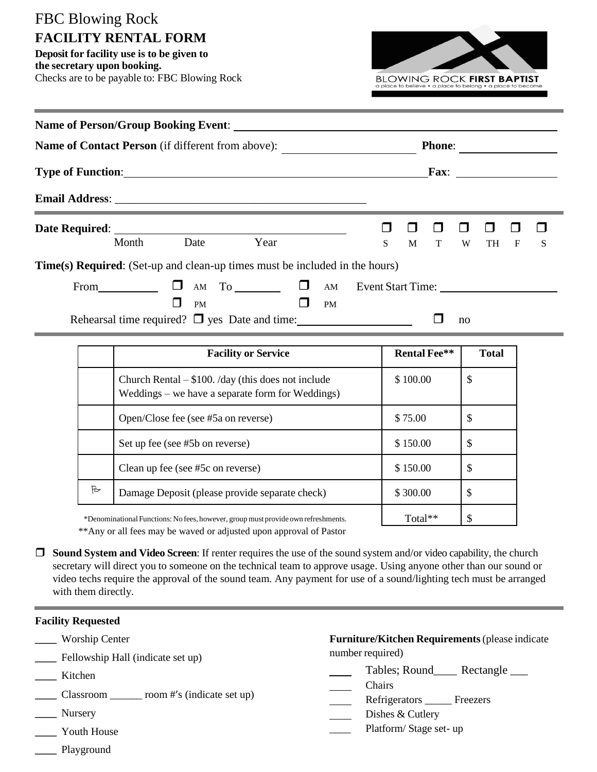## FBC Blowing Rock **FACILITY RENTAL FORM**

**Deposit for facility use is to be given to the secretary upon booking.** Checks are to be payable to: FBC Blowing Rock



| <b>Name of Person/Group Booking Event:</b>                                  |       |           |                                                                |  |                                                                                                                                     |               |  |  |    |            |  |   |  |
|-----------------------------------------------------------------------------|-------|-----------|----------------------------------------------------------------|--|-------------------------------------------------------------------------------------------------------------------------------------|---------------|--|--|----|------------|--|---|--|
| Name of Contact Person (if different from above):                           |       |           |                                                                |  | <b>Phone:</b>                                                                                                                       |               |  |  |    |            |  |   |  |
|                                                                             |       |           |                                                                |  | <b>Fax:</b><br><u> 1986 - Jan Stein Stein Stein Stein Stein Stein Stein Stein Stein Stein Stein Stein Stein Stein Stein Stein S</u> |               |  |  |    |            |  |   |  |
|                                                                             |       |           |                                                                |  |                                                                                                                                     |               |  |  |    |            |  |   |  |
|                                                                             |       |           |                                                                |  |                                                                                                                                     |               |  |  | ⊔  | ⊔          |  |   |  |
|                                                                             | Month | Date      | Year                                                           |  |                                                                                                                                     | $S_{\text{}}$ |  |  |    | M T W TH F |  | S |  |
| Time(s) Required: (Set-up and clean-up times must be included in the hours) |       |           |                                                                |  |                                                                                                                                     |               |  |  |    |            |  |   |  |
|                                                                             | From  | П         | $\mathsf{AM}$ To $\Box$ $\Box$ $\mathsf{AM}$ Event Start Time: |  |                                                                                                                                     |               |  |  |    |            |  |   |  |
|                                                                             |       | <b>PM</b> |                                                                |  | <b>PM</b>                                                                                                                           |               |  |  |    |            |  |   |  |
|                                                                             |       |           | Rehearsal time required? $\Box$ yes Date and time: $\Box$      |  |                                                                                                                                     |               |  |  | no |            |  |   |  |

|   | <b>Facility or Service</b>                                                                               | <b>Rental Fee**</b> | <b>Total</b> |
|---|----------------------------------------------------------------------------------------------------------|---------------------|--------------|
|   | Church Rental $-$ \$100. /day (this does not include<br>Weddings – we have a separate form for Weddings) | \$100.00            | \$           |
|   | Open/Close fee (see #5a on reverse)                                                                      | \$75.00             | \$           |
|   | Set up fee (see #5b on reverse)                                                                          | \$150.00            | \$           |
|   | Clean up fee (see #5c on reverse)                                                                        | \$150.00            | \$           |
| B | Damage Deposit (please provide separate check)                                                           | \$300.00            | \$           |
|   | *Denominational Functions: No fees, however, group must provide own refreshments.                        | Total**             | \$           |

\*DenominationalFunctions: No fees, however, group must provide own refreshments.

\*\*Any or all fees may be waved or adjusted upon approval of Pastor

 **Sound System and Video Screen**: If renter requires the use of the sound system and/or video capability, the church secretary will direct you to someone on the technical team to approve usage. Using anyone other than our sound or video techs require the approval of the sound team. Any payment for use of a sound/lighting tech must be arranged with them directly.

## **Facility Requested**

- **\_\_\_\_** Worship Center
- **\_\_\_\_** Fellowship Hall (indicate set up)
- **\_\_\_\_** Kitchen
- **\_\_\_\_** Classroom \_\_\_\_\_\_ room #'s (indicate set up)
- **\_\_\_\_** Nursery
- **\_\_\_\_** Youth House
- **\_\_\_\_** Playground

**Furniture/Kitchen Requirements**(please indicate number required)

- Tables; Round\_\_\_\_ Rectangle \_\_\_
- Chairs
- Refrigerators \_\_\_\_\_ Freezers
- Dishes & Cutlery
- Platform/Stage set- up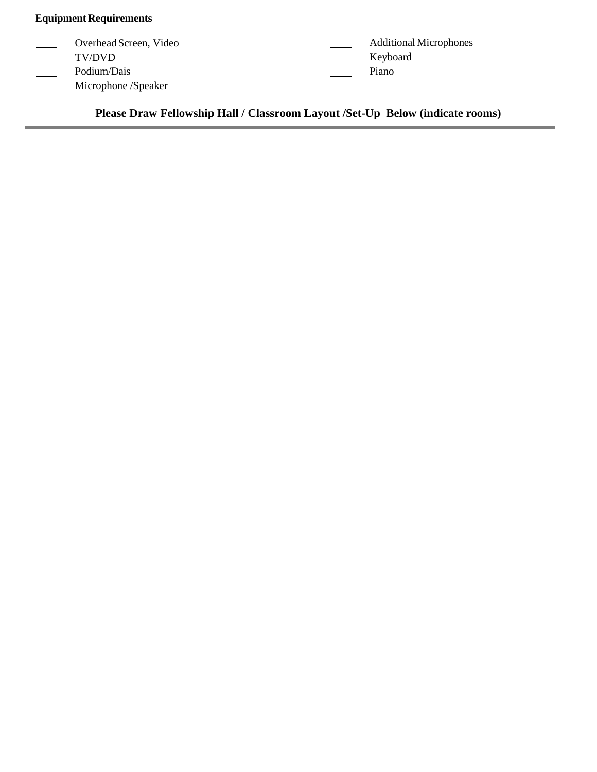## **Equipment Requirements**

| Overhead Screen, Video | <b>Additional Microphones</b> |
|------------------------|-------------------------------|
| TV/DVD                 | Keyboard                      |
| Podium/Dais            | Piano                         |
| Microphone /Speaker    |                               |

**Please Draw Fellowship Hall / Classroom Layout /Set-Up Below (indicate rooms)**